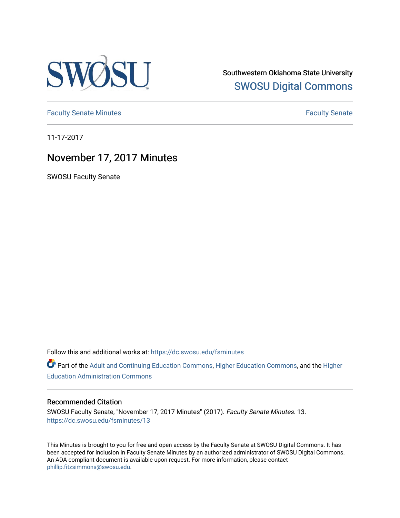

Southwestern Oklahoma State University [SWOSU Digital Commons](https://dc.swosu.edu/) 

[Faculty Senate Minutes](https://dc.swosu.edu/fsminutes) **Faculty** Senate Minutes

11-17-2017

# November 17, 2017 Minutes

SWOSU Faculty Senate

Follow this and additional works at: [https://dc.swosu.edu/fsminutes](https://dc.swosu.edu/fsminutes?utm_source=dc.swosu.edu%2Ffsminutes%2F13&utm_medium=PDF&utm_campaign=PDFCoverPages) 

Part of the [Adult and Continuing Education Commons,](http://network.bepress.com/hgg/discipline/1375?utm_source=dc.swosu.edu%2Ffsminutes%2F13&utm_medium=PDF&utm_campaign=PDFCoverPages) [Higher Education Commons,](http://network.bepress.com/hgg/discipline/1245?utm_source=dc.swosu.edu%2Ffsminutes%2F13&utm_medium=PDF&utm_campaign=PDFCoverPages) and the [Higher](http://network.bepress.com/hgg/discipline/791?utm_source=dc.swosu.edu%2Ffsminutes%2F13&utm_medium=PDF&utm_campaign=PDFCoverPages) [Education Administration Commons](http://network.bepress.com/hgg/discipline/791?utm_source=dc.swosu.edu%2Ffsminutes%2F13&utm_medium=PDF&utm_campaign=PDFCoverPages) 

#### Recommended Citation

SWOSU Faculty Senate, "November 17, 2017 Minutes" (2017). Faculty Senate Minutes. 13. [https://dc.swosu.edu/fsminutes/13](https://dc.swosu.edu/fsminutes/13?utm_source=dc.swosu.edu%2Ffsminutes%2F13&utm_medium=PDF&utm_campaign=PDFCoverPages) 

This Minutes is brought to you for free and open access by the Faculty Senate at SWOSU Digital Commons. It has been accepted for inclusion in Faculty Senate Minutes by an authorized administrator of SWOSU Digital Commons. An ADA compliant document is available upon request. For more information, please contact [phillip.fitzsimmons@swosu.edu](mailto:phillip.fitzsimmons@swosu.edu).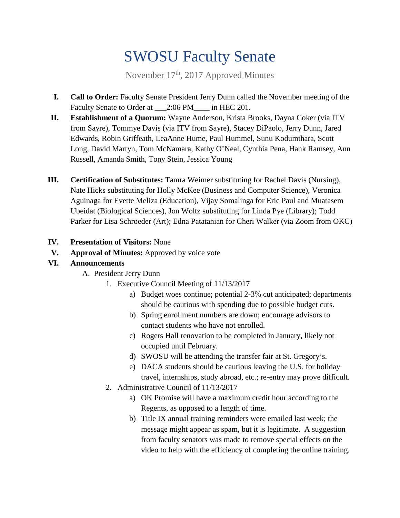# SWOSU Faculty Senate

November 17th, 2017 Approved Minutes

- **I. Call to Order:** Faculty Senate President Jerry Dunn called the November meeting of the Faculty Senate to Order at \_\_\_2:06 PM\_\_\_\_ in HEC 201.
- **II. Establishment of a Quorum:** Wayne Anderson, Krista Brooks, Dayna Coker (via ITV from Sayre), Tommye Davis (via ITV from Sayre), Stacey DiPaolo, Jerry Dunn, Jared Edwards, Robin Griffeath, LeaAnne Hume, Paul Hummel, Sunu Kodumthara, Scott Long, David Martyn, Tom McNamara, Kathy O'Neal, Cynthia Pena, Hank Ramsey, Ann Russell, Amanda Smith, Tony Stein, Jessica Young
- **III. Certification of Substitutes:** Tamra Weimer substituting for Rachel Davis (Nursing), Nate Hicks substituting for Holly McKee (Business and Computer Science), Veronica Aguinaga for Evette Meliza (Education), Vijay Somalinga for Eric Paul and Muatasem Ubeidat (Biological Sciences), Jon Woltz substituting for Linda Pye (Library); Todd Parker for Lisa Schroeder (Art); Edna Patatanian for Cheri Walker (via Zoom from OKC)
- **IV. Presentation of Visitors:** None
- **V. Approval of Minutes:** Approved by voice vote

## **VI. Announcements**

- A. President Jerry Dunn
	- 1. Executive Council Meeting of 11/13/2017
		- a) Budget woes continue; potential 2-3% cut anticipated; departments should be cautious with spending due to possible budget cuts.
		- b) Spring enrollment numbers are down; encourage advisors to contact students who have not enrolled.
		- c) Rogers Hall renovation to be completed in January, likely not occupied until February.
		- d) SWOSU will be attending the transfer fair at St. Gregory's.
		- e) DACA students should be cautious leaving the U.S. for holiday travel, internships, study abroad, etc.; re-entry may prove difficult.
	- 2. Administrative Council of 11/13/2017
		- a) OK Promise will have a maximum credit hour according to the Regents, as opposed to a length of time.
		- b) Title IX annual training reminders were emailed last week; the message might appear as spam, but it is legitimate. A suggestion from faculty senators was made to remove special effects on the video to help with the efficiency of completing the online training.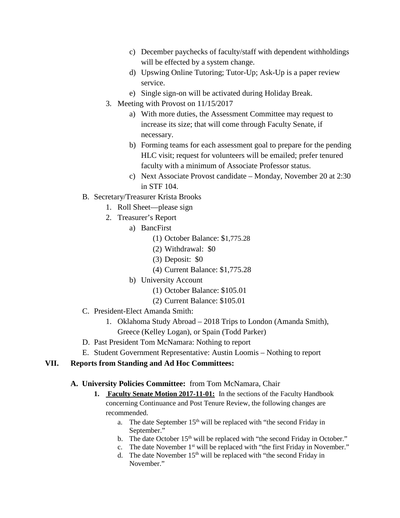- c) December paychecks of faculty/staff with dependent withholdings will be effected by a system change.
- d) Upswing Online Tutoring; Tutor-Up; Ask-Up is a paper review service.
- e) Single sign-on will be activated during Holiday Break.
- 3. Meeting with Provost on 11/15/2017
	- a) With more duties, the Assessment Committee may request to increase its size; that will come through Faculty Senate, if necessary.
	- b) Forming teams for each assessment goal to prepare for the pending HLC visit; request for volunteers will be emailed; prefer tenured faculty with a minimum of Associate Professor status.
	- c) Next Associate Provost candidate Monday, November 20 at 2:30 in STF 104.
- B. Secretary/Treasurer Krista Brooks
	- 1. Roll Sheet—please sign
	- 2. Treasurer's Report
		- a) BancFirst
			- (1) October Balance: \$1,775.28
			- (2) Withdrawal: \$0
			- (3) Deposit: \$0
			- (4) Current Balance: \$1,775.28
		- b) University Account
			- (1) October Balance: \$105.01
			- (2) Current Balance: \$105.01
- C. President-Elect Amanda Smith:
	- 1. Oklahoma Study Abroad 2018 Trips to London (Amanda Smith), Greece (Kelley Logan), or Spain (Todd Parker)
- D. Past President Tom McNamara: Nothing to report
- E. Student Government Representative: Austin Loomis Nothing to report

## **VII. Reports from Standing and Ad Hoc Committees:**

## **A. University Policies Committee:** from Tom McNamara, Chair

- **1. Faculty Senate Motion 2017-11-01:** In the sections of the Faculty Handbook concerning Continuance and Post Tenure Review, the following changes are recommended.
	- a. The date September  $15<sup>th</sup>$  will be replaced with "the second Friday in September."
	- b. The date October 15<sup>th</sup> will be replaced with "the second Friday in October."
	- c. The date November  $1<sup>st</sup>$  will be replaced with "the first Friday in November."
	- d. The date November 15<sup>th</sup> will be replaced with "the second Friday in November."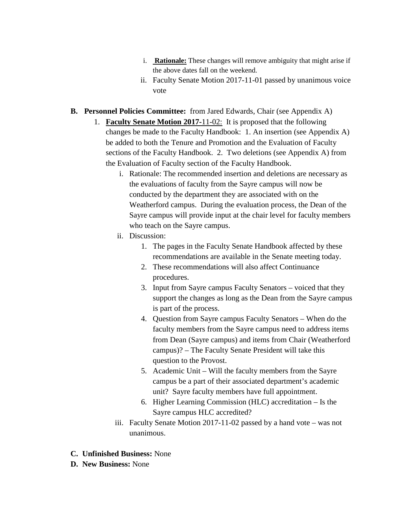- i. **Rationale:** These changes will remove ambiguity that might arise if the above dates fall on the weekend.
- ii. Faculty Senate Motion 2017-11-01 passed by unanimous voice vote
- **B. Personnel Policies Committee:** from Jared Edwards, Chair (see Appendix A)
	- 1. **Faculty Senate Motion 2017-**11-02: It is proposed that the following changes be made to the Faculty Handbook: 1. An insertion (see Appendix A) be added to both the Tenure and Promotion and the Evaluation of Faculty sections of the Faculty Handbook. 2. Two deletions (see Appendix A) from the Evaluation of Faculty section of the Faculty Handbook.
		- i. Rationale: The recommended insertion and deletions are necessary as the evaluations of faculty from the Sayre campus will now be conducted by the department they are associated with on the Weatherford campus. During the evaluation process, the Dean of the Sayre campus will provide input at the chair level for faculty members who teach on the Sayre campus.
		- ii. Discussion:
			- 1. The pages in the Faculty Senate Handbook affected by these recommendations are available in the Senate meeting today.
			- 2. These recommendations will also affect Continuance procedures.
			- 3. Input from Sayre campus Faculty Senators voiced that they support the changes as long as the Dean from the Sayre campus is part of the process.
			- 4. Question from Sayre campus Faculty Senators When do the faculty members from the Sayre campus need to address items from Dean (Sayre campus) and items from Chair (Weatherford campus)? – The Faculty Senate President will take this question to the Provost.
			- 5. Academic Unit Will the faculty members from the Sayre campus be a part of their associated department's academic unit? Sayre faculty members have full appointment.
			- 6. Higher Learning Commission (HLC) accreditation Is the Sayre campus HLC accredited?
		- iii. Faculty Senate Motion 2017-11-02 passed by a hand vote was not unanimous.
- **C. Unfinished Business:** None
- **D. New Business:** None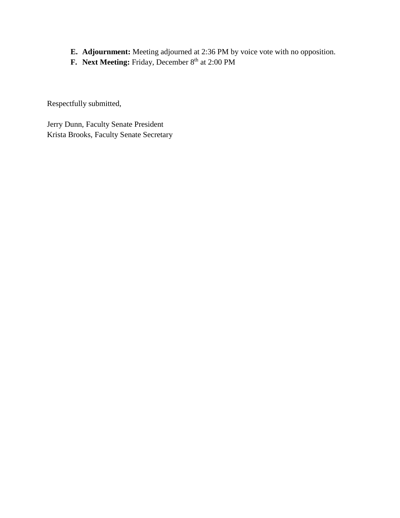- **E. Adjournment:** Meeting adjourned at 2:36 PM by voice vote with no opposition.
- **F.** Next Meeting: Friday, December 8<sup>th</sup> at 2:00 PM

Respectfully submitted,

Jerry Dunn, Faculty Senate President Krista Brooks, Faculty Senate Secretary